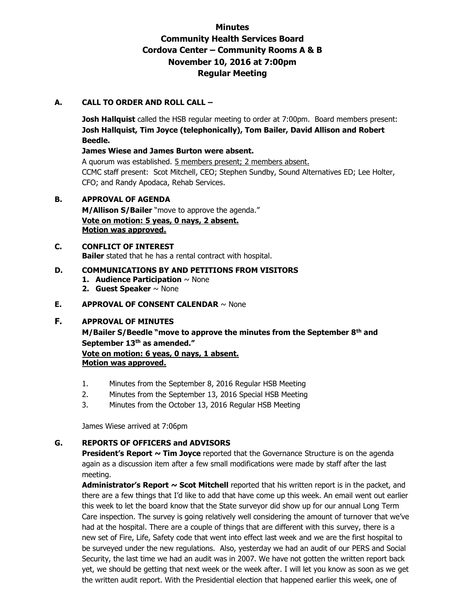# **Minutes Community Health Services Board Cordova Center – Community Rooms A & B November 10, 2016 at 7:00pm Regular Meeting**

# **A. CALL TO ORDER AND ROLL CALL –**

**Josh Hallquist** called the HSB regular meeting to order at 7:00pm. Board members present: **Josh Hallquist, Tim Joyce (telephonically), Tom Bailer, David Allison and Robert Beedle.** 

### **James Wiese and James Burton were absent.**

A quorum was established. 5 members present; 2 members absent. CCMC staff present: Scot Mitchell, CEO; Stephen Sundby, Sound Alternatives ED; Lee Holter, CFO; and Randy Apodaca, Rehab Services.

### **B. APPROVAL OF AGENDA**

**M/Allison S/Bailer** "move to approve the agenda." **Vote on motion: 5 yeas, 0 nays, 2 absent. Motion was approved.**

#### **C. CONFLICT OF INTEREST Bailer** stated that he has a rental contract with hospital.

### **D. COMMUNICATIONS BY AND PETITIONS FROM VISITORS**

- **1. Audience Participation** ~ None
- **2. Guest Speaker** ~ None

### **E. APPROVAL OF CONSENT CALENDAR** ~ None

### **F. APPROVAL OF MINUTES**

**M/Bailer S/Beedle "move to approve the minutes from the September 8th and September 13th as amended."**

**Vote on motion: 6 yeas, 0 nays, 1 absent. Motion was approved.**

- 1. Minutes from the September 8, 2016 Regular HSB Meeting
- 2. Minutes from the September 13, 2016 Special HSB Meeting
- 3. Minutes from the October 13, 2016 Regular HSB Meeting

James Wiese arrived at 7:06pm

### **G. REPORTS OF OFFICERS and ADVISORS**

**President's Report ~ Tim Joyce** reported that the Governance Structure is on the agenda again as a discussion item after a few small modifications were made by staff after the last meeting.

**Administrator's Report ~ Scot Mitchell** reported that his written report is in the packet, and there are a few things that I'd like to add that have come up this week. An email went out earlier this week to let the board know that the State surveyor did show up for our annual Long Term Care inspection. The survey is going relatively well considering the amount of turnover that we've had at the hospital. There are a couple of things that are different with this survey, there is a new set of Fire, Life, Safety code that went into effect last week and we are the first hospital to be surveyed under the new regulations. Also, yesterday we had an audit of our PERS and Social Security, the last time we had an audit was in 2007. We have not gotten the written report back yet, we should be getting that next week or the week after. I will let you know as soon as we get the written audit report. With the Presidential election that happened earlier this week, one of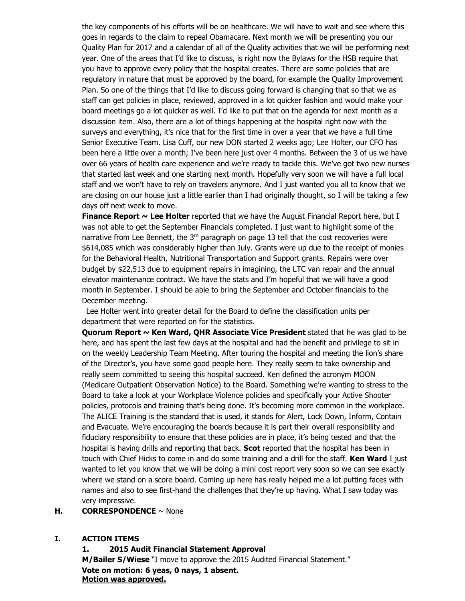the key components of his efforts will be on healthcare. We will have to wait and see where this goes in regards to the claim to repeal Obamacare. Next month we will be presenting you our Quality Plan for 2017 and a calendar of all of the Quality activities that we will be performing next year. One of the areas that I'd like to discuss, is right now the Bylaws for the HSB require that you have to approve every policy that the hospital creates. There are some policies that are regulatory in nature that must be approved by the board, for example the Quality Improvement Plan. So one of the things that I'd like to discuss going forward is changing that so that we as staff can get policies in place, reviewed, approved in a lot quicker fashion and would make your board meetings go a lot quicker as well. I'd like to put that on the agenda for next month as a discussion item. Also, there are a lot of things happening at the hospital right now with the surveys and everything, it's nice that for the first time in over a year that we have a full time Senior Executive Team. Lisa Cuff, our new DON started 2 weeks ago; Lee Holter, our CFO has been here a little over a month; I've been here just over 4 months. Between the 3 of us we have over 66 years of health care experience and we're ready to tackle this. We've got two new nurses that started last week and one starting next month. Hopefully very soon we will have a full local staff and we won't have to rely on travelers anymore. And I just wanted you all to know that we are closing on our house just a little earlier than I had originally thought, so I will be taking a few days off next week to move.

**Finance Report ~ Lee Holter** reported that we have the August Financial Report here, but I was not able to get the September Financials completed. I just want to highlight some of the narrative from Lee Bennett, the  $3<sup>rd</sup>$  paragraph on page 13 tell that the cost recoveries were \$614,085 which was considerably higher than July. Grants were up due to the receipt of monies for the Behavioral Health, Nutritional Transportation and Support grants. Repairs were over budget by \$22,513 due to equipment repairs in imagining, the LTC van repair and the annual elevator maintenance contract. We have the stats and I'm hopeful that we will have a good month in September. I should be able to bring the September and October financials to the December meeting.

Lee Holter went into greater detail for the Board to define the classification units per department that were reported on for the statistics.

**Quorum Report ~ Ken Ward, QHR Associate Vice President** stated that he was glad to be here, and has spent the last few days at the hospital and had the benefit and privilege to sit in on the weekly Leadership Team Meeting. After touring the hospital and meeting the lion's share of the Director's, you have some good people here. They really seem to take ownership and really seem committed to seeing this hospital succeed. Ken defined the acronym MOON (Medicare Outpatient Observation Notice) to the Board. Something we're wanting to stress to the Board to take a look at your Workplace Violence policies and specifically your Active Shooter policies, protocols and training that's being done. It's becoming more common in the workplace. The ALICE Training is the standard that is used, it stands for Alert, Lock Down, Inform, Contain and Evacuate. We're encouraging the boards because it is part their overall responsibility and fiduciary responsibility to ensure that these policies are in place, it's being tested and that the hospital is having drills and reporting that back. **Scot** reported that the hospital has been in touch with Chief Hicks to come in and do some training and a drill for the staff. **Ken Ward** I just wanted to let you know that we will be doing a mini cost report very soon so we can see exactly where we stand on a score board. Coming up here has really helped me a lot putting faces with names and also to see first-hand the challenges that they're up having. What I saw today was very impressive.

#### **H. CORRESPONDENCE** ~ None

#### **I. ACTION ITEMS**

**1. 2015 Audit Financial Statement Approval M/Bailer S/Wiese** "I move to approve the 2015 Audited Financial Statement." **Vote on motion: 6 yeas, 0 nays, 1 absent. Motion was approved.**